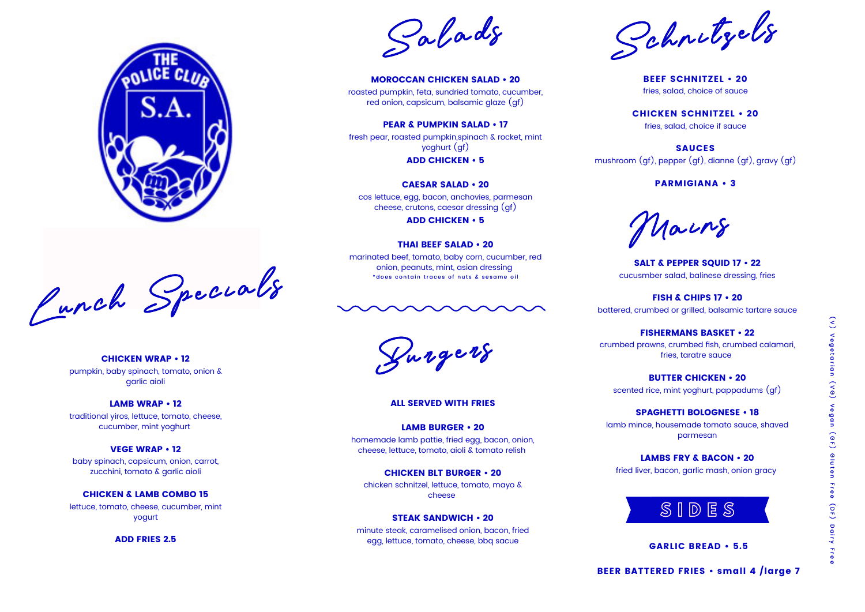Lunch Speci <sup>a</sup> ls Lunch Speci <sup>a</sup> ls

CHICKEN WRAP • 12 pumpkin, baby spinach, tomato, onion & garlic aioli

### LAMB WRAP • 12

traditional yiros, lettuce, tomato, cheese, cucumber, mint yoghurt

#### VEGE WRAP • 12

baby spinach, capsicum, onion, carrot, zucchini, tomato & garlic aioli

### CHICKEN & LAMB COMBO 15

lettuce, tomato, cheese, cucumber, mint yogurt

ADD FRIES 2.5

ALL SERVED WITH FRIES

### LAMB BURGER • 20 homemade lamb pattie, fried egg, bacon, onion,

cheese, lettuce, tomato, aioli & tomato relish

CHICKEN BLT BURGER • 20 chicken schnitzel, lettuce, tomato, mayo & cheese

#### STEAK SANDWICH • 20

minute steak, caramelised onion, bacon, fried egg, lettuce, tomato, cheese, bbq sacue

SALT & PEPPER SQUID 17 • 22 cucusmber salad, balinese dressing, fries

FISH & CHIPS 17 • 20 battered, crumbed or grilled, balsamic tartare sauce

marinated beef, tomato, baby corn, cucumber, red onion, peanuts, mint, asian dressing \* does contain traces of nuts & sesame oil



FISHERMANS BASKET • 22 crumbed prawns, crumbed fish, crumbed calamari, fries, taratre sauce

BUTTER CHICKEN • 20 scented rice, mint yoghurt, pappadums (gf)

SPAGHETTI BOLOGNESE • 18 lamb mince, housemade tomato sauce, shaved parmesan

LAMBS FRY & BACON • 20 fried liver, bacon, garlic mash, onion gracy



Burgers Burgers

BEEF SCHNITZEL • 20 fries, salad, choice of sauce

CHICKEN SCHNITZEL • 20 fries, salad, choice if sauce



SAUCES mushroom (gf), pepper (gf), dianne (gf), gravy (gf)

PARMIGIANA • 3

MOROCCAN CHICKEN SALAD • 20 roasted pumpkin, feta, sundried tomato, cucumber, red onion, capsicum, balsamic glaze (gf)

### PEAR & PUMPKIN SALAD • 17

fresh pear, roasted pumpkin,spinach & rocket, mint yoghurt (gf)

ADD CHICKEN • 5

#### CAESAR SALAD • 20

cos lettuce, egg, bacon, anchovies, parmesan cheese, crutons, caesar dressing (gf)

ADD CHICKEN • 5

#### THAI BEEF SALAD • 20

GARLIC BREAD • 5.5

BEER BATTERED FRIES • small 4 /large 7





Ma ins

Schnitzels S chnitzels chnitzels

S Sa l <sup>a</sup> ds Sa